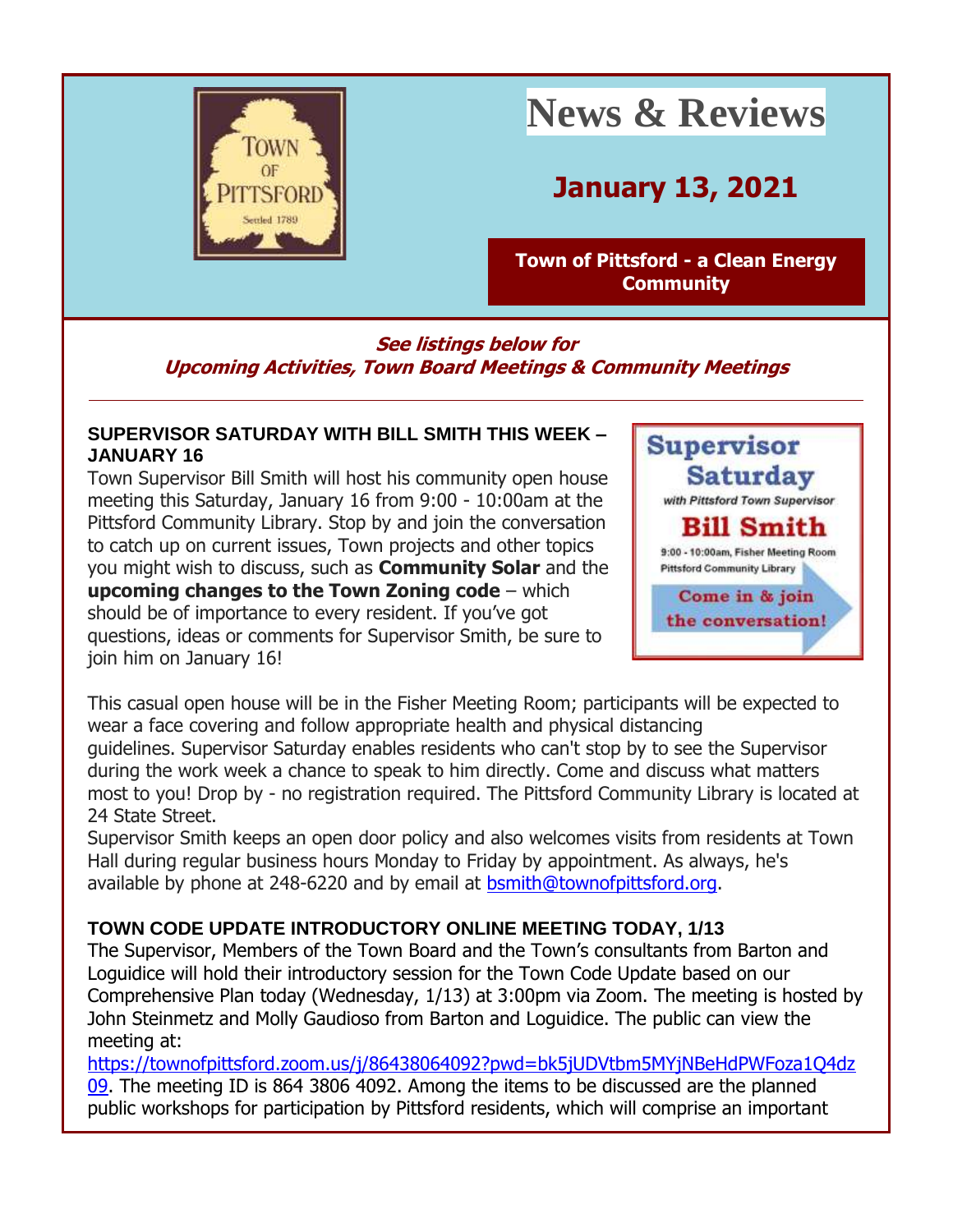

# **News & Reviews**

## **January 13, 2021**

**[Town of Pittsford -](http://r20.rs6.net/tn.jsp?f=001OZQE3MqHp5dkIuJ1ZwfW_Q54RXkl3fCdaesJrfwK2-NrtFHZSjCW6LHlWXSfVqOcZMjtzaTDlN_0rfTHh352D7dCRQ9KADCXs0wX2gOChdtofZGqobd_gN1AcG1i3veyVQalpkvOwzRbbj2B6cH2nf80hM9BwU_w&c=4mEVP4j7NCss6SvU_ikzHH8qXswQjVV5r89UQHoFAupD0IRSPKrtkA==&ch=3GDXquySHNxKxZzCx4_c_pwhkL-yoRyylVp7fOP8OJS0pcRaLGcfbg==) a Clean Energy [Community](http://r20.rs6.net/tn.jsp?f=001OZQE3MqHp5dkIuJ1ZwfW_Q54RXkl3fCdaesJrfwK2-NrtFHZSjCW6LHlWXSfVqOcZMjtzaTDlN_0rfTHh352D7dCRQ9KADCXs0wX2gOChdtofZGqobd_gN1AcG1i3veyVQalpkvOwzRbbj2B6cH2nf80hM9BwU_w&c=4mEVP4j7NCss6SvU_ikzHH8qXswQjVV5r89UQHoFAupD0IRSPKrtkA==&ch=3GDXquySHNxKxZzCx4_c_pwhkL-yoRyylVp7fOP8OJS0pcRaLGcfbg==)**

**See listings below for Upcoming Activities, Town Board Meetings & Community Meetings**

#### **SUPERVISOR SATURDAY WITH BILL SMITH THIS WEEK – JANUARY 16**

Town Supervisor Bill Smith will host his community open house meeting this Saturday, January 16 from 9:00 - 10:00am at the Pittsford Community Library. Stop by and join the conversation to catch up on current issues, Town projects and other topics you might wish to discuss, such as **Community Solar** and the **upcoming changes to the Town Zoning code** – which should be of importance to every resident. If you've got questions, ideas or comments for Supervisor Smith, be sure to join him on January 16!



This casual open house will be in the Fisher Meeting Room; participants will be expected to wear a face covering and follow appropriate health and physical distancing guidelines. Supervisor Saturday enables residents who can't stop by to see the Supervisor during the work week a chance to speak to him directly. Come and discuss what matters most to you! Drop by - no registration required. The Pittsford Community Library is located at 24 State Street.

Supervisor Smith keeps an open door policy and also welcomes visits from residents at Town Hall during regular business hours Monday to Friday by appointment. As always, he's available by phone at 248-6220 and by email at [bsmith@townofpittsford.org.](mailto:bsmith@townofpittsford.org)

### **TOWN CODE UPDATE INTRODUCTORY ONLINE MEETING TODAY, 1/13**

The Supervisor, Members of the Town Board and the Town's consultants from Barton and Loguidice will hold their introductory session for the Town Code Update based on our Comprehensive Plan today (Wednesday, 1/13) at 3:00pm via Zoom. The meeting is hosted by John Steinmetz and Molly Gaudioso from Barton and Loguidice. The public can view the meeting at:

[https://townofpittsford.zoom.us/j/86438064092?pwd=bk5jUDVtbm5MYjNBeHdPWFoza1Q4dz](http://r20.rs6.net/tn.jsp?f=001OZQE3MqHp5dkIuJ1ZwfW_Q54RXkl3fCdaesJrfwK2-NrtFHZSjCW6AamE1KFWxPv2r0-W0DXDolrH47r5kf2tnTWlZVrhbZaJM_ph3oFGbK7L2E2Oxl8L8BvAamoEarL5-gm7cDBKYh6PBRBMeAwN12EC-FtvlEeesCoO1FGD15qsZZF8lbcQKTlHLj-W0roNYJS2j4IJJ5YCtG2jzc1Dx7tVDxRdhq_SoKtZXUiql8=&c=4mEVP4j7NCss6SvU_ikzHH8qXswQjVV5r89UQHoFAupD0IRSPKrtkA==&ch=3GDXquySHNxKxZzCx4_c_pwhkL-yoRyylVp7fOP8OJS0pcRaLGcfbg==) [09.](http://r20.rs6.net/tn.jsp?f=001OZQE3MqHp5dkIuJ1ZwfW_Q54RXkl3fCdaesJrfwK2-NrtFHZSjCW6AamE1KFWxPv2r0-W0DXDolrH47r5kf2tnTWlZVrhbZaJM_ph3oFGbK7L2E2Oxl8L8BvAamoEarL5-gm7cDBKYh6PBRBMeAwN12EC-FtvlEeesCoO1FGD15qsZZF8lbcQKTlHLj-W0roNYJS2j4IJJ5YCtG2jzc1Dx7tVDxRdhq_SoKtZXUiql8=&c=4mEVP4j7NCss6SvU_ikzHH8qXswQjVV5r89UQHoFAupD0IRSPKrtkA==&ch=3GDXquySHNxKxZzCx4_c_pwhkL-yoRyylVp7fOP8OJS0pcRaLGcfbg==) The meeting ID is 864 3806 4092. Among the items to be discussed are the planned public workshops for participation by Pittsford residents, which will comprise an important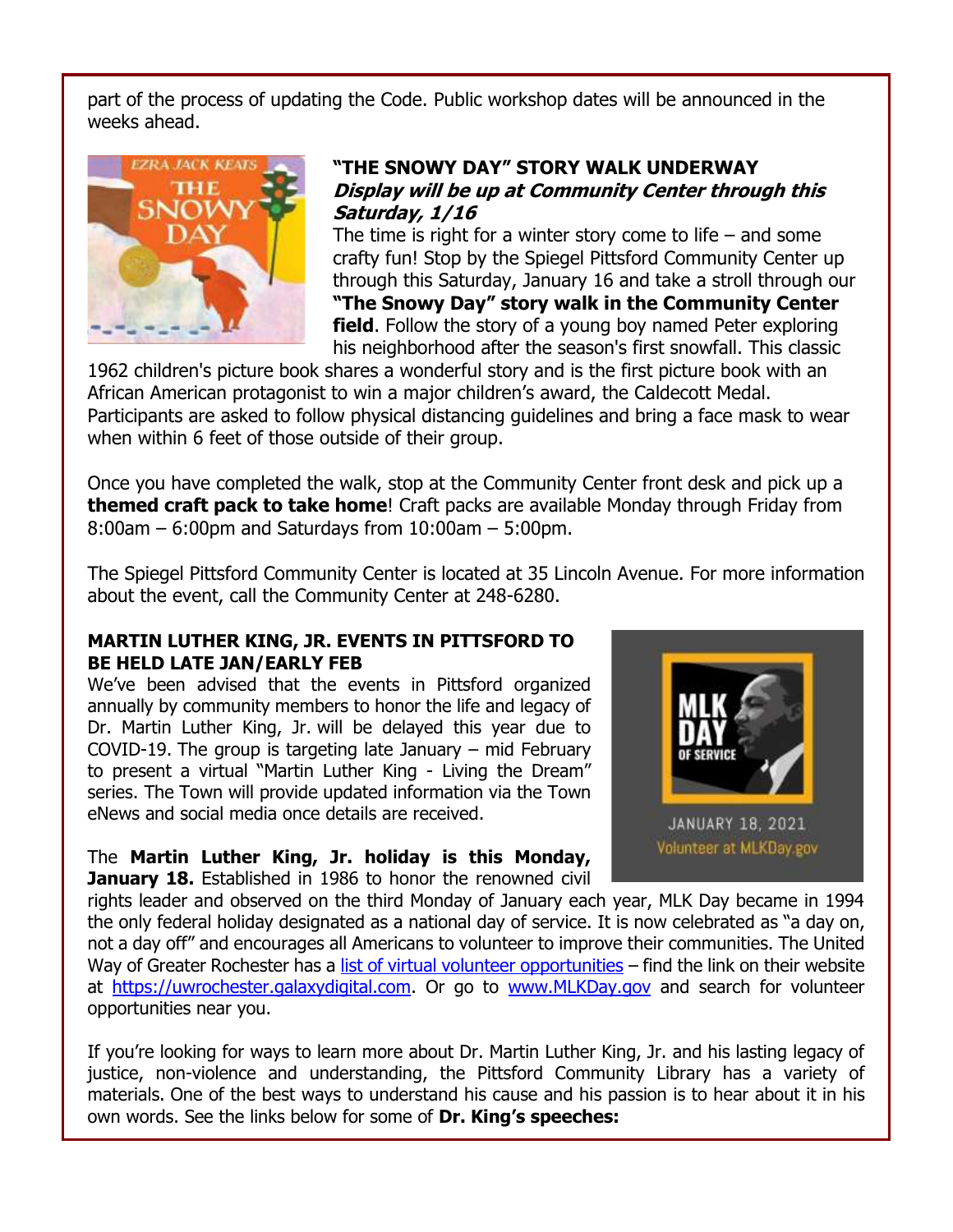part of the process of updating the Code. Public workshop dates will be announced in the weeks ahead.



#### **"THE SNOWY DAY" STORY WALK UNDERWAY Display will be up at Community Center through this Saturday, 1/16**

The time is right for a winter story come to life  $-$  and some crafty fun! Stop by the Spiegel Pittsford Community Center up through this Saturday, January 16 and take a stroll through our **"The Snowy Day" story walk in the Community Center field**. Follow the story of a young boy named Peter exploring his neighborhood after the season's first snowfall. This classic

1962 children's picture book shares a wonderful story and is the first picture book with an African American protagonist to win a major children's award, the Caldecott Medal. Participants are asked to follow physical distancing guidelines and bring a face mask to wear when within 6 feet of those outside of their group.

Once you have completed the walk, stop at the Community Center front desk and pick up a **themed craft pack to take home**! Craft packs are available Monday through Friday from 8:00am – 6:00pm and Saturdays from 10:00am – 5:00pm.

The Spiegel Pittsford Community Center is located at 35 Lincoln Avenue. For more information about the event, call the Community Center at 248-6280.

#### **MARTIN LUTHER KING, JR. EVENTS IN PITTSFORD TO BE HELD LATE JAN/EARLY FEB**

We've been advised that the events in Pittsford organized annually by community members to honor the life and legacy of Dr. Martin Luther King, Jr. will be delayed this year due to COVID-19. The group is targeting late January – mid February to present a virtual "Martin Luther King - Living the Dream" series. The Town will provide updated information via the Town eNews and social media once details are received.

The **Martin Luther King, Jr. holiday is this Monday, January 18.** Established in 1986 to honor the renowned civil



rights leader and observed on the third Monday of January each year, MLK Day became in 1994 the only federal holiday designated as a national day of service. It is now celebrated as "a day on, not a day off" and encourages all Americans to volunteer to improve their communities. The United Way of Greater Rochester has a [list of virtual volunteer opportunities](http://r20.rs6.net/tn.jsp?f=001OZQE3MqHp5dkIuJ1ZwfW_Q54RXkl3fCdaesJrfwK2-NrtFHZSjCW6AamE1KFWxPvcIFLWBbeGQV8CGYn7OOu_NvDrwLDE2wKD0o2Buf8IuHh6LGued3ipXwaTe_tD6dM2TVmRCD2K0nWKUO4YAFTn5h-BC1V1Dtks6Osa706ZgY=&c=4mEVP4j7NCss6SvU_ikzHH8qXswQjVV5r89UQHoFAupD0IRSPKrtkA==&ch=3GDXquySHNxKxZzCx4_c_pwhkL-yoRyylVp7fOP8OJS0pcRaLGcfbg==) - find the link on their website at [https://uwrochester.galaxydigital.com.](http://r20.rs6.net/tn.jsp?f=001OZQE3MqHp5dkIuJ1ZwfW_Q54RXkl3fCdaesJrfwK2-NrtFHZSjCW6AamE1KFWxPv0UAvbJy2xvIuYEx904ndqJ6v_8muoXAgJWBJtO6lz8ib1FzHsMVvhSE9rpIZjwAALJSn8bPzkMalF_7T54SWg50rlVER-ssf&c=4mEVP4j7NCss6SvU_ikzHH8qXswQjVV5r89UQHoFAupD0IRSPKrtkA==&ch=3GDXquySHNxKxZzCx4_c_pwhkL-yoRyylVp7fOP8OJS0pcRaLGcfbg==) Or go to [www.MLKDay.gov](http://r20.rs6.net/tn.jsp?f=001OZQE3MqHp5dkIuJ1ZwfW_Q54RXkl3fCdaesJrfwK2-NrtFHZSjCW6AamE1KFWxPvD0K4AgHFTtjyGg2FWDs5Hn5CXLIZyDEwAnwe5ao3jscH2mnEdIS6rklHFy_uYvRolhDMkiQacUE=&c=4mEVP4j7NCss6SvU_ikzHH8qXswQjVV5r89UQHoFAupD0IRSPKrtkA==&ch=3GDXquySHNxKxZzCx4_c_pwhkL-yoRyylVp7fOP8OJS0pcRaLGcfbg==) and search for volunteer opportunities near you.

If you're looking for ways to learn more about Dr. Martin Luther King, Jr. and his lasting legacy of justice, non-violence and understanding, the Pittsford Community Library has a variety of materials. One of the best ways to understand his cause and his passion is to hear about it in his own words. See the links below for some of **Dr. King's speeches:**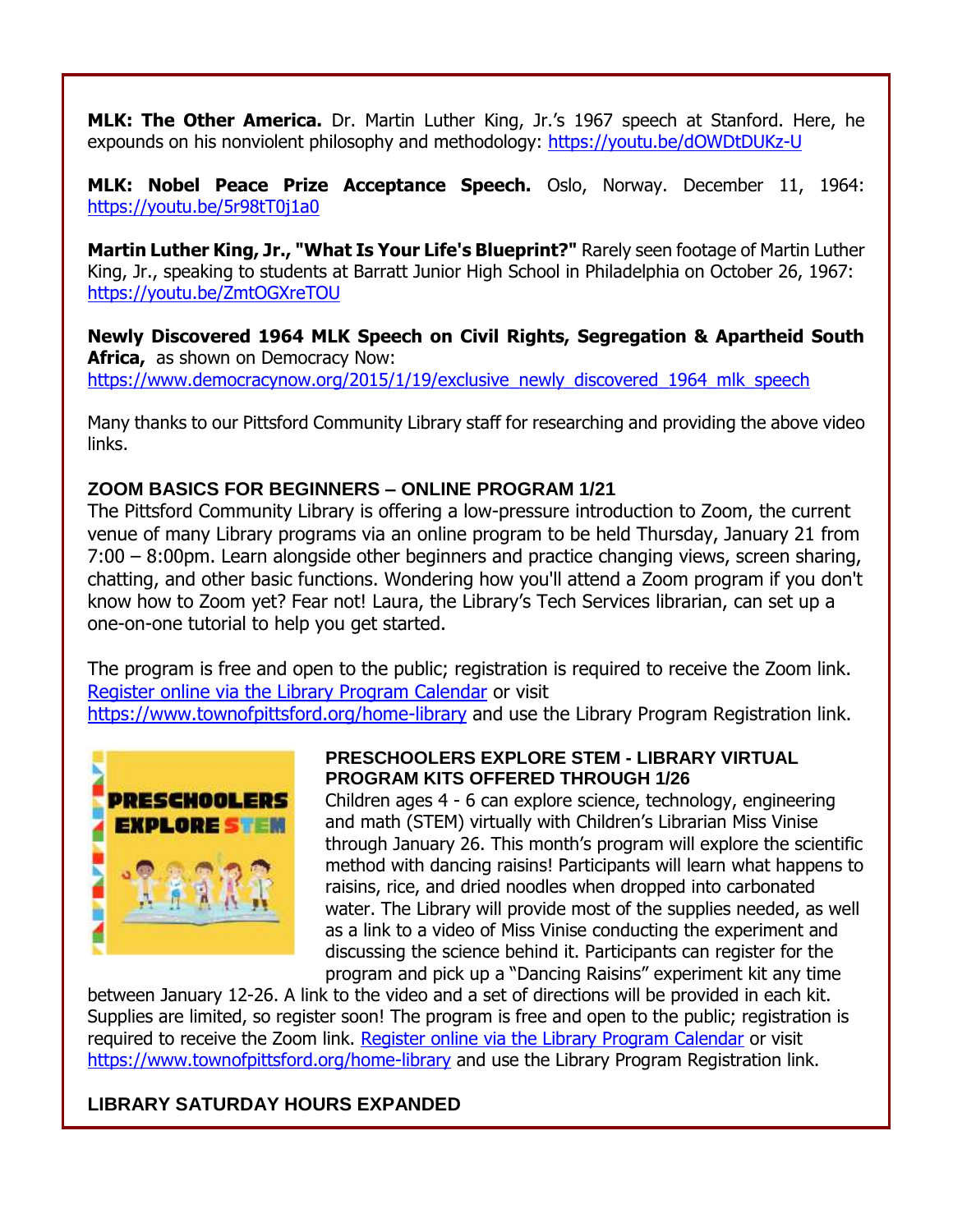**MLK: The Other America.** Dr. Martin Luther King, Jr.'s 1967 speech at Stanford. Here, he expounds on his nonviolent philosophy and methodology: [https://youtu.be/dOWDtDUKz-U](http://r20.rs6.net/tn.jsp?f=001OZQE3MqHp5dkIuJ1ZwfW_Q54RXkl3fCdaesJrfwK2-NrtFHZSjCW6AamE1KFWxPv6x17eP0zA4gYxOD1wOf1eowF6bhwXmxFRvIjVhPTOTz-2idjQ_Q8UhXmrypjCXZPzOLwvJNIh7njlzGL-5a-Cw==&c=4mEVP4j7NCss6SvU_ikzHH8qXswQjVV5r89UQHoFAupD0IRSPKrtkA==&ch=3GDXquySHNxKxZzCx4_c_pwhkL-yoRyylVp7fOP8OJS0pcRaLGcfbg==)

**MLK: Nobel Peace Prize Acceptance Speech.** Oslo, Norway. December 11, 1964: [https://youtu.be/5r98tT0j1a0](http://r20.rs6.net/tn.jsp?f=001OZQE3MqHp5dkIuJ1ZwfW_Q54RXkl3fCdaesJrfwK2-NrtFHZSjCW6AamE1KFWxPv387bKEN5guCCoEj3N-LDJciCj-PgulN4uvtXEM5AUQVtDdfZuuOXG6fkuLaQ31mDmrCfX49jg6kpbJ3JylnhiQ==&c=4mEVP4j7NCss6SvU_ikzHH8qXswQjVV5r89UQHoFAupD0IRSPKrtkA==&ch=3GDXquySHNxKxZzCx4_c_pwhkL-yoRyylVp7fOP8OJS0pcRaLGcfbg==)

**Martin Luther King, Jr., "What Is Your Life's Blueprint?"** Rarely seen footage of Martin Luther King, Jr., speaking to students at Barratt Junior High School in Philadelphia on October 26, 1967: [https://youtu.be/ZmtOGXreTOU](http://r20.rs6.net/tn.jsp?f=001OZQE3MqHp5dkIuJ1ZwfW_Q54RXkl3fCdaesJrfwK2-NrtFHZSjCW6AamE1KFWxPvJQiLfPsASEmboo75LCxMOjKqz4BLjvRpSXEhg6-OU7wbhPP-pRuJLlZVuqXH2kyk82rtLaBsNcOz45dJbPDSfg==&c=4mEVP4j7NCss6SvU_ikzHH8qXswQjVV5r89UQHoFAupD0IRSPKrtkA==&ch=3GDXquySHNxKxZzCx4_c_pwhkL-yoRyylVp7fOP8OJS0pcRaLGcfbg==)

**Newly Discovered 1964 MLK Speech on Civil Rights, Segregation & Apartheid South Africa,** as shown on Democracy Now: [https://www.democracynow.org/2015/1/19/exclusive\\_newly\\_discovered\\_1964\\_mlk\\_speech](http://r20.rs6.net/tn.jsp?f=001OZQE3MqHp5dkIuJ1ZwfW_Q54RXkl3fCdaesJrfwK2-NrtFHZSjCW6AamE1KFWxPvV579zlH122FJeQJ__4G13J-vtehfIFq3iv0fnCI7LvVyAsCTKIBWn6NVJsJ9OUSecFoSbh-XVFvBaq0UDUoMQPchrQLsWA5dG0UErMlKkp4hkpIpMRuWGhlOivXXVG5abjCQpldFhzlDxqiZzyr3RBcdYdjvYI4XpuhvOfAMGzE=&c=4mEVP4j7NCss6SvU_ikzHH8qXswQjVV5r89UQHoFAupD0IRSPKrtkA==&ch=3GDXquySHNxKxZzCx4_c_pwhkL-yoRyylVp7fOP8OJS0pcRaLGcfbg==)

Many thanks to our Pittsford Community Library staff for researching and providing the above video links.

#### **ZOOM BASICS FOR BEGINNERS – ONLINE PROGRAM 1/21**

The Pittsford Community Library is offering a low-pressure introduction to Zoom, the current venue of many Library programs via an online program to be held Thursday, January 21 from 7:00 – 8:00pm. Learn alongside other beginners and practice changing views, screen sharing, chatting, and other basic functions. Wondering how you'll attend a Zoom program if you don't know how to Zoom yet? Fear not! Laura, the Library's Tech Services librarian, can set up a one-on-one tutorial to help you get started.

The program is free and open to the public; registration is required to receive the Zoom link. [Register online via the Library Program Calendar](http://r20.rs6.net/tn.jsp?f=001OZQE3MqHp5dkIuJ1ZwfW_Q54RXkl3fCdaesJrfwK2-NrtFHZSjCW6AamE1KFWxPvALp0A2UloiM81CRv16YiUxJ4pgMe_sh4O9XaxIT-cDBnIx2P5a5OFbYG1Dwr4x4k4qxZjEh6F5_uFAtOjyrNYik7h-RiEW6RkeQCWAO2HPdRpmROHR38ZQ==&c=4mEVP4j7NCss6SvU_ikzHH8qXswQjVV5r89UQHoFAupD0IRSPKrtkA==&ch=3GDXquySHNxKxZzCx4_c_pwhkL-yoRyylVp7fOP8OJS0pcRaLGcfbg==) or visit [https://www.townofpittsford.org/home-library](http://r20.rs6.net/tn.jsp?f=001OZQE3MqHp5dkIuJ1ZwfW_Q54RXkl3fCdaesJrfwK2-NrtFHZSjCW6AamE1KFWxPvs8aPiDRIgSCzgfYt4EmWeAvnxlqAtWMvzV7IwcZpgilv1THLHuAW3i3w9q3iRc_0Hn7emP3VUvp-B0smhgkfLq5bZqQq3to5fSnjg2vqySA=&c=4mEVP4j7NCss6SvU_ikzHH8qXswQjVV5r89UQHoFAupD0IRSPKrtkA==&ch=3GDXquySHNxKxZzCx4_c_pwhkL-yoRyylVp7fOP8OJS0pcRaLGcfbg==) and use the Library Program Registration link.



#### **PRESCHOOLERS EXPLORE STEM - LIBRARY VIRTUAL PROGRAM KITS OFFERED THROUGH 1/26**

Children ages 4 - 6 can explore science, technology, engineering and math (STEM) virtually with Children's Librarian Miss Vinise through January 26. This month's program will explore the scientific method with dancing raisins! Participants will learn what happens to raisins, rice, and dried noodles when dropped into carbonated water. The Library will provide most of the supplies needed, as well as a link to a video of Miss Vinise conducting the experiment and discussing the science behind it. Participants can register for the program and pick up a "Dancing Raisins" experiment kit any time

between January 12-26. A link to the video and a set of directions will be provided in each kit. Supplies are limited, so register soon! The program is free and open to the public; registration is required to receive the Zoom link. [Register online via the Library Program Calendar](http://r20.rs6.net/tn.jsp?f=001OZQE3MqHp5dkIuJ1ZwfW_Q54RXkl3fCdaesJrfwK2-NrtFHZSjCW6AamE1KFWxPvGjlodZM57HI_s9apiBaTrGj6bbIvA9VuY6BKqCzRgRbrgt2RskFAcLTxDNYfpBSVxtdH3X1qB4geXf-iggVyAfE6nEERqYJRAHtc0zZGCz3jQWuIwQD0Fg==&c=4mEVP4j7NCss6SvU_ikzHH8qXswQjVV5r89UQHoFAupD0IRSPKrtkA==&ch=3GDXquySHNxKxZzCx4_c_pwhkL-yoRyylVp7fOP8OJS0pcRaLGcfbg==) or visit [https://www.townofpittsford.org/home-library](http://https/www.townofpittsford.org/home-library) and use the Library Program Registration link.

#### **LIBRARY SATURDAY HOURS EXPANDED**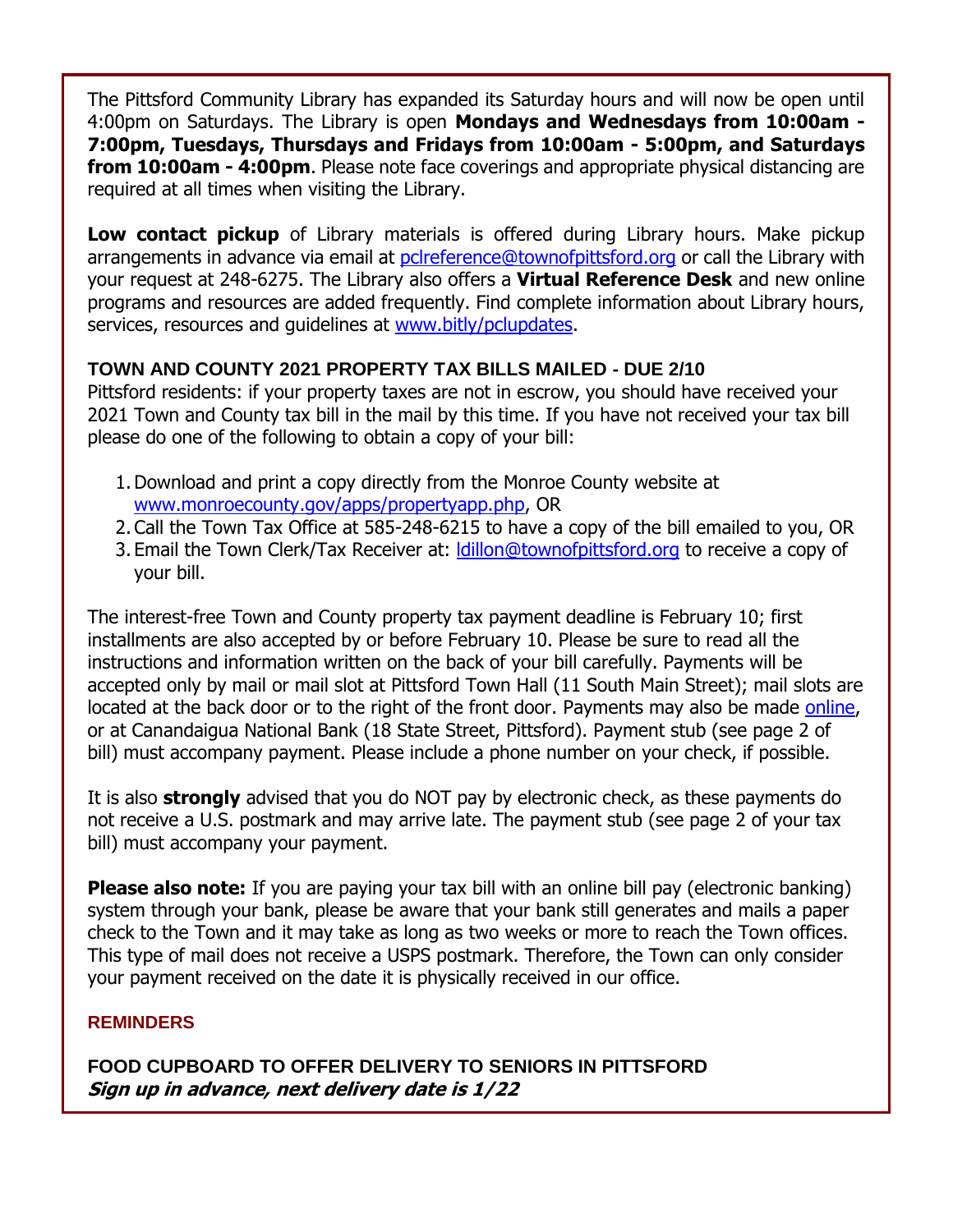The Pittsford Community Library has expanded its Saturday hours and will now be open until 4:00pm on Saturdays. The Library is open **Mondays and Wednesdays from 10:00am - 7:00pm, Tuesdays, Thursdays and Fridays from 10:00am - 5:00pm, and Saturdays from 10:00am - 4:00pm**. Please note face coverings and appropriate physical distancing are required at all times when visiting the Library.

**Low contact pickup** of Library materials is offered during Library hours. Make pickup arrangements in advance via email at [pclreference@townofpittsford.org](mailto:pclreference@townofpittsford.org) or call the Library with your request at 248-6275. The Library also offers a **Virtual Reference Desk** and new online programs and resources are added frequently. Find complete information about Library hours, services, resources and quidelines at [www.bitly/pclupdates.](http://r20.rs6.net/tn.jsp?f=001OZQE3MqHp5dkIuJ1ZwfW_Q54RXkl3fCdaesJrfwK2-NrtFHZSjCW6E-jDNRRHd-6ZYrrTK5E9UX-u0Qvu80b5Cw6QSWr23SEBW776e5rWvWdMSe62lv3-wYcvOELg7wD-6axZq6H9rBN4x3I_Iupww==&c=4mEVP4j7NCss6SvU_ikzHH8qXswQjVV5r89UQHoFAupD0IRSPKrtkA==&ch=3GDXquySHNxKxZzCx4_c_pwhkL-yoRyylVp7fOP8OJS0pcRaLGcfbg==)

#### **TOWN AND COUNTY 2021 PROPERTY TAX BILLS MAILED - DUE 2/10**

Pittsford residents: if your property taxes are not in escrow, you should have received your 2021 Town and County tax bill in the mail by this time. If you have not received your tax bill please do one of the following to obtain a copy of your bill:

- 1.Download and print a copy directly from the Monroe County website at [www.monroecounty.gov/apps/propertyapp.php,](http://r20.rs6.net/tn.jsp?f=001OZQE3MqHp5dkIuJ1ZwfW_Q54RXkl3fCdaesJrfwK2-NrtFHZSjCW6MYquSV7cbU03CDTFxNpvzmpSpuJ1DohHnahS0RHlMRt15Z6eeXBwemPv9H2c-YyZvOukpKsOFPOwTMFMDBKlTpqYHHsOIqii3JMwYjrZuMPPO50DMKofd1yxL1-ZkcIQw==&c=4mEVP4j7NCss6SvU_ikzHH8qXswQjVV5r89UQHoFAupD0IRSPKrtkA==&ch=3GDXquySHNxKxZzCx4_c_pwhkL-yoRyylVp7fOP8OJS0pcRaLGcfbg==) OR
- 2.Call the Town Tax Office at 585-248-6215 to have a copy of the bill emailed to you, OR
- 3. Email the Town Clerk/Tax Receiver at: Idillon@townofpittsford.org to receive a copy of your bill.

The interest-free Town and County property tax payment deadline is February 10; first installments are also accepted by or before February 10. Please be sure to read all the instructions and information written on the back of your bill carefully. Payments will be accepted only by mail or mail slot at Pittsford Town Hall (11 South Main Street); mail slots are located at the back door or to the right of the front door. Payments may also be made [online,](http://r20.rs6.net/tn.jsp?f=001OZQE3MqHp5dkIuJ1ZwfW_Q54RXkl3fCdaesJrfwK2-NrtFHZSjCW6MYquSV7cbU03CDTFxNpvzmpSpuJ1DohHnahS0RHlMRt15Z6eeXBwemPv9H2c-YyZvOukpKsOFPOwTMFMDBKlTpqYHHsOIqii3JMwYjrZuMPPO50DMKofd1yxL1-ZkcIQw==&c=4mEVP4j7NCss6SvU_ikzHH8qXswQjVV5r89UQHoFAupD0IRSPKrtkA==&ch=3GDXquySHNxKxZzCx4_c_pwhkL-yoRyylVp7fOP8OJS0pcRaLGcfbg==) or at Canandaigua National Bank (18 State Street, Pittsford). Payment stub (see page 2 of bill) must accompany payment. Please include a phone number on your check, if possible.

It is also **strongly** advised that you do NOT pay by electronic check, as these payments do not receive a U.S. postmark and may arrive late. The payment stub (see page 2 of your tax bill) must accompany your payment.

**Please also note:** If you are paying your tax bill with an online bill pay (electronic banking) system through your bank, please be aware that your bank still generates and mails a paper check to the Town and it may take as long as two weeks or more to reach the Town offices. This type of mail does not receive a USPS postmark. Therefore, the Town can only consider your payment received on the date it is physically received in our office.

#### **REMINDERS**

**FOOD CUPBOARD TO OFFER DELIVERY TO SENIORS IN PITTSFORD Sign up in advance, next delivery date is 1/22**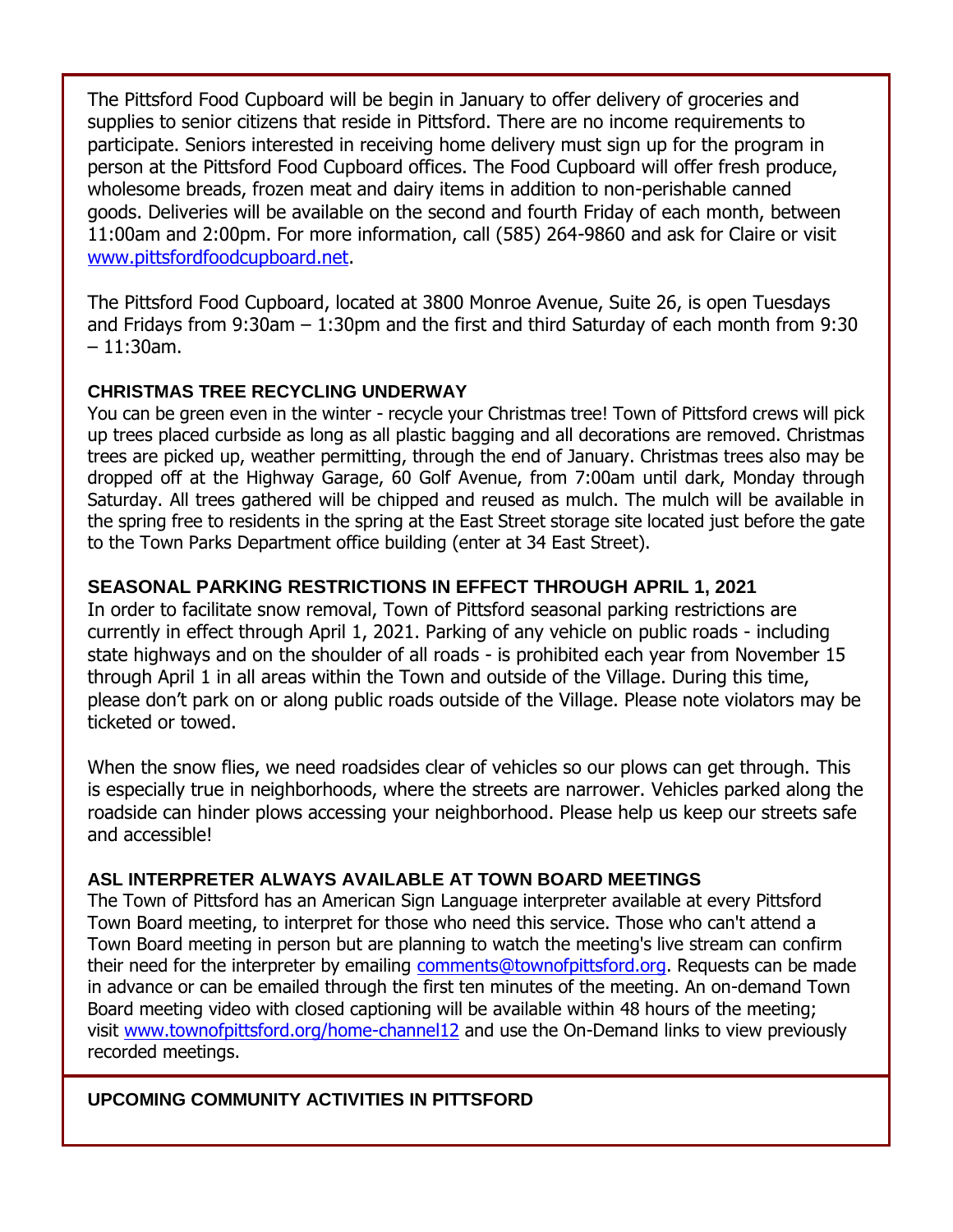The Pittsford Food Cupboard will be begin in January to offer delivery of groceries and supplies to senior citizens that reside in Pittsford. There are no income requirements to participate. Seniors interested in receiving home delivery must sign up for the program in person at the Pittsford Food Cupboard offices. The Food Cupboard will offer fresh produce, wholesome breads, frozen meat and dairy items in addition to non-perishable canned goods. Deliveries will be available on the second and fourth Friday of each month, between 11:00am and 2:00pm. For more information, call (585) 264-9860 and ask for Claire or visit [www.pittsfordfoodcupboard.net.](http://r20.rs6.net/tn.jsp?f=001OZQE3MqHp5dkIuJ1ZwfW_Q54RXkl3fCdaesJrfwK2-NrtFHZSjCW6DfcN5QNN8LmTbLYeAbi_klLzU9o-oOVZe5heNKzol3kTnp93jBnXejay8__V_V2QlykEwo4xxzWCNiiS-YAUTQu2zjB9J-QAQ24lvQLkIOH&c=4mEVP4j7NCss6SvU_ikzHH8qXswQjVV5r89UQHoFAupD0IRSPKrtkA==&ch=3GDXquySHNxKxZzCx4_c_pwhkL-yoRyylVp7fOP8OJS0pcRaLGcfbg==)

The Pittsford Food Cupboard, located at 3800 Monroe Avenue, Suite 26, is open Tuesdays and Fridays from 9:30am – 1:30pm and the first and third Saturday of each month from 9:30  $-11:30$ am.

#### **CHRISTMAS TREE RECYCLING UNDERWAY**

You can be green even in the winter - recycle your Christmas tree! Town of Pittsford crews will pick up trees placed curbside as long as all plastic bagging and all decorations are removed. Christmas trees are picked up, weather permitting, through the end of January. Christmas trees also may be dropped off at the Highway Garage, 60 Golf Avenue, from 7:00am until dark, Monday through Saturday. All trees gathered will be chipped and reused as mulch. The mulch will be available in the spring free to residents in the spring at the East Street storage site located just before the gate to the Town Parks Department office building (enter at 34 East Street).

#### **SEASONAL PARKING RESTRICTIONS IN EFFECT THROUGH APRIL 1, 2021**

In order to facilitate snow removal, Town of Pittsford seasonal parking restrictions are currently in effect through April 1, 2021. Parking of any vehicle on public roads - including state highways and on the shoulder of all roads - is prohibited each year from November 15 through April 1 in all areas within the Town and outside of the Village. During this time, please don't park on or along public roads outside of the Village. Please note violators may be ticketed or towed.

When the snow flies, we need roadsides clear of vehicles so our plows can get through. This is especially true in neighborhoods, where the streets are narrower. Vehicles parked along the roadside can hinder plows accessing your neighborhood. Please help us keep our streets safe and accessible!

#### **ASL INTERPRETER ALWAYS AVAILABLE AT TOWN BOARD MEETINGS**

The Town of Pittsford has an American Sign Language interpreter available at every Pittsford Town Board meeting, to interpret for those who need this service. Those who can't attend a Town Board meeting in person but are planning to watch the meeting's live stream can confirm their need for the interpreter by emailing [comments@townofpittsford.org.](mailto:comments@townofpittsford.org?subject=ASL%20interperter%20request%20for%20Town%20Board%20meeting) Requests can be made in advance or can be emailed through the first ten minutes of the meeting. An on-demand Town Board meeting video with closed captioning will be available within 48 hours of the meeting; visit [www.townofpittsford.org/home-channel12](http://r20.rs6.net/tn.jsp?f=001OZQE3MqHp5dkIuJ1ZwfW_Q54RXkl3fCdaesJrfwK2-NrtFHZSjCW6Hb-tF0FXcLTMi_5Pr1LSmeDauN5jTq41FuZqtBXM3-YVVWEd-nos4kfScbzURvnbwGdVfF81UA3vQ9wxWSmshCBVWR0eSdWa64G221ze2Pr1PhNJMOCuio=&c=4mEVP4j7NCss6SvU_ikzHH8qXswQjVV5r89UQHoFAupD0IRSPKrtkA==&ch=3GDXquySHNxKxZzCx4_c_pwhkL-yoRyylVp7fOP8OJS0pcRaLGcfbg==) and use the On-Demand links to view previously recorded meetings.

#### **UPCOMING COMMUNITY ACTIVITIES IN PITTSFORD**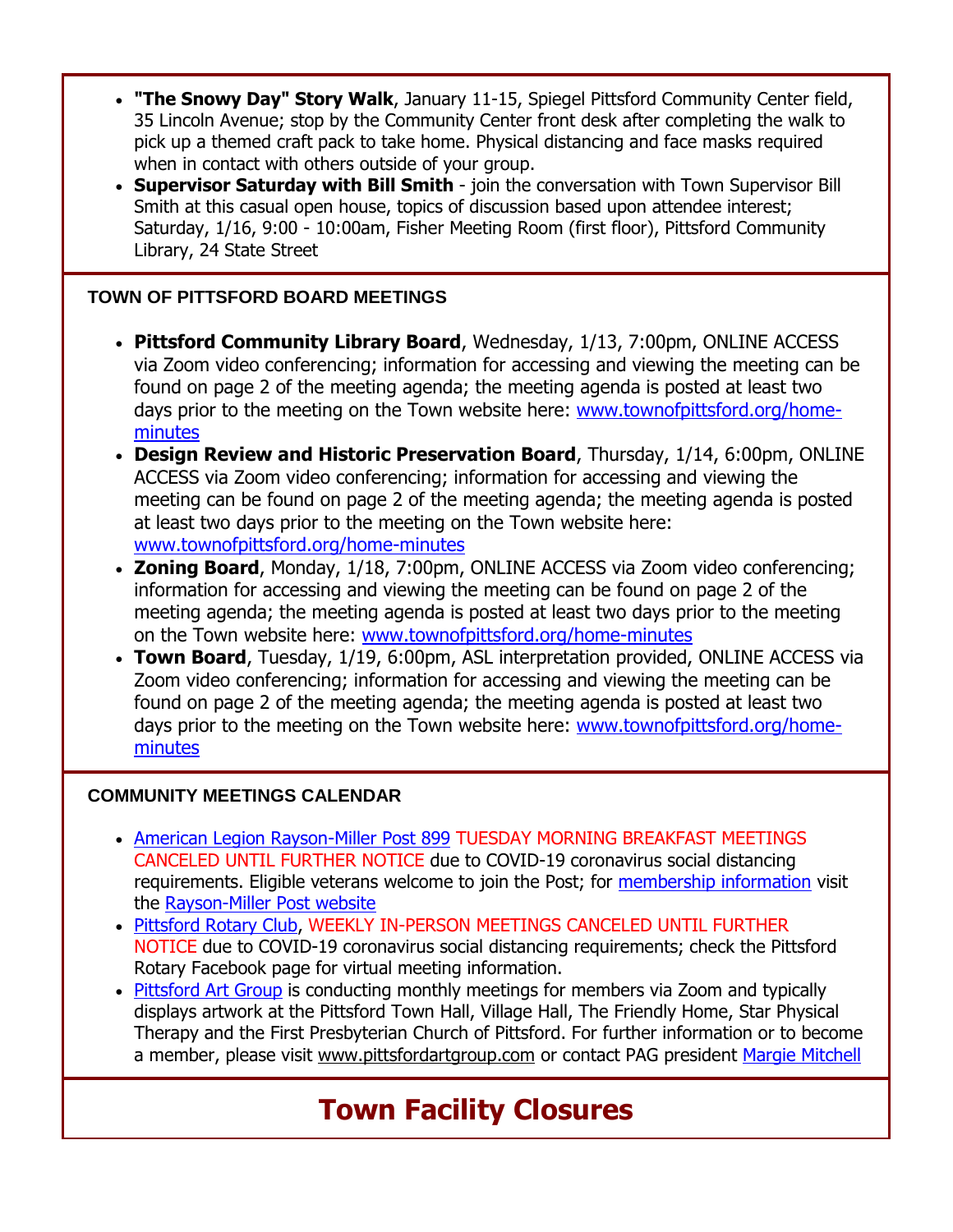- **"The Snowy Day" Story Walk**, January 11-15, Spiegel Pittsford Community Center field, 35 Lincoln Avenue; stop by the Community Center front desk after completing the walk to pick up a themed craft pack to take home. Physical distancing and face masks required when in contact with others outside of your group.
- **Supervisor Saturday with Bill Smith**  join the conversation with Town Supervisor Bill Smith at this casual open house, topics of discussion based upon attendee interest; Saturday, 1/16, 9:00 - 10:00am, Fisher Meeting Room (first floor), Pittsford Community Library, 24 State Street

#### **TOWN OF PITTSFORD BOARD MEETINGS**

- **Pittsford Community Library Board**, Wednesday, 1/13, 7:00pm, ONLINE ACCESS via Zoom video conferencing; information for accessing and viewing the meeting can be found on page 2 of the meeting agenda; the meeting agenda is posted at least two days prior to the meeting on the Town website here: [www.townofpittsford.org/home](http://r20.rs6.net/tn.jsp?f=001OZQE3MqHp5dkIuJ1ZwfW_Q54RXkl3fCdaesJrfwK2-NrtFHZSjCW6Nx2xmEY5aZqBl8e5tKCVSoYij8K3G4hO8SGtbNYyfv90thxR0NggnP5lydk9tKluXIjq9sBX8VPaYjaO6WvlZA-7nUgeA5GfFXGu1odYRvqbcnXIrbw1j8=&c=4mEVP4j7NCss6SvU_ikzHH8qXswQjVV5r89UQHoFAupD0IRSPKrtkA==&ch=3GDXquySHNxKxZzCx4_c_pwhkL-yoRyylVp7fOP8OJS0pcRaLGcfbg==)[minutes](http://r20.rs6.net/tn.jsp?f=001OZQE3MqHp5dkIuJ1ZwfW_Q54RXkl3fCdaesJrfwK2-NrtFHZSjCW6Nx2xmEY5aZqBl8e5tKCVSoYij8K3G4hO8SGtbNYyfv90thxR0NggnP5lydk9tKluXIjq9sBX8VPaYjaO6WvlZA-7nUgeA5GfFXGu1odYRvqbcnXIrbw1j8=&c=4mEVP4j7NCss6SvU_ikzHH8qXswQjVV5r89UQHoFAupD0IRSPKrtkA==&ch=3GDXquySHNxKxZzCx4_c_pwhkL-yoRyylVp7fOP8OJS0pcRaLGcfbg==)
- **Design Review and Historic Preservation Board**, Thursday, 1/14, 6:00pm, ONLINE ACCESS via Zoom video conferencing; information for accessing and viewing the meeting can be found on page 2 of the meeting agenda; the meeting agenda is posted at least two days prior to the meeting on the Town website here: [www.townofpittsford.org/home-minutes](http://r20.rs6.net/tn.jsp?f=001OZQE3MqHp5dkIuJ1ZwfW_Q54RXkl3fCdaesJrfwK2-NrtFHZSjCW6Nx2xmEY5aZqBl8e5tKCVSoYij8K3G4hO8SGtbNYyfv90thxR0NggnP5lydk9tKluXIjq9sBX8VPaYjaO6WvlZA-7nUgeA5GfFXGu1odYRvqbcnXIrbw1j8=&c=4mEVP4j7NCss6SvU_ikzHH8qXswQjVV5r89UQHoFAupD0IRSPKrtkA==&ch=3GDXquySHNxKxZzCx4_c_pwhkL-yoRyylVp7fOP8OJS0pcRaLGcfbg==)
- **Zoning Board**, Monday, 1/18, 7:00pm, ONLINE ACCESS via Zoom video conferencing; information for accessing and viewing the meeting can be found on page 2 of the meeting agenda; the meeting agenda is posted at least two days prior to the meeting on the Town website here: [www.townofpittsford.org/home-minutes](http://r20.rs6.net/tn.jsp?f=001OZQE3MqHp5dkIuJ1ZwfW_Q54RXkl3fCdaesJrfwK2-NrtFHZSjCW6Nx2xmEY5aZqBl8e5tKCVSoYij8K3G4hO8SGtbNYyfv90thxR0NggnP5lydk9tKluXIjq9sBX8VPaYjaO6WvlZA-7nUgeA5GfFXGu1odYRvqbcnXIrbw1j8=&c=4mEVP4j7NCss6SvU_ikzHH8qXswQjVV5r89UQHoFAupD0IRSPKrtkA==&ch=3GDXquySHNxKxZzCx4_c_pwhkL-yoRyylVp7fOP8OJS0pcRaLGcfbg==)
- **Town Board**, Tuesday, 1/19, 6:00pm, ASL interpretation provided, ONLINE ACCESS via Zoom video conferencing; information for accessing and viewing the meeting can be found on page 2 of the meeting agenda; the meeting agenda is posted at least two days prior to the meeting on the Town website here: [www.townofpittsford.org/home](http://www.townofpittsford.org/home-minutes)[minutes](http://www.townofpittsford.org/home-minutes)

#### **COMMUNITY MEETINGS CALENDAR**

- [American Legion Rayson-Miller Post 899](http://r20.rs6.net/tn.jsp?f=001OZQE3MqHp5dkIuJ1ZwfW_Q54RXkl3fCdaesJrfwK2-NrtFHZSjCW6DfcN5QNN8LmKGErCPBHe57Vxx23w_v5pHHynBgMsxJtUIW8qjEZMvfss77_kdoaWL_KePOQtjHN86avn68o0FCQ_mLmDjmKJjMCITREM3Rj&c=4mEVP4j7NCss6SvU_ikzHH8qXswQjVV5r89UQHoFAupD0IRSPKrtkA==&ch=3GDXquySHNxKxZzCx4_c_pwhkL-yoRyylVp7fOP8OJS0pcRaLGcfbg==) TUESDAY MORNING BREAKFAST MEETINGS CANCELED UNTIL FURTHER NOTICE due to COVID-19 coronavirus social distancing requirements. Eligible veterans welcome to join the Post; for [membership information](http://r20.rs6.net/tn.jsp?f=001OZQE3MqHp5dkIuJ1ZwfW_Q54RXkl3fCdaesJrfwK2-NrtFHZSjCW6DfcN5QNN8LmrxCmXvB8ZFGXsjpwPv_O5r0LJBdj45SlBqnAb_1SNIKYMbnGuxuL7OTgQ4rAlyy-_ZDT30R6MjIstUIqFvpgaCZOUVymgpfBIX-OTWzNGceIK0kx8wNjM-l1z1BF93CX&c=4mEVP4j7NCss6SvU_ikzHH8qXswQjVV5r89UQHoFAupD0IRSPKrtkA==&ch=3GDXquySHNxKxZzCx4_c_pwhkL-yoRyylVp7fOP8OJS0pcRaLGcfbg==) visit the [Rayson-Miller Post website](http://r20.rs6.net/tn.jsp?f=001OZQE3MqHp5dkIuJ1ZwfW_Q54RXkl3fCdaesJrfwK2-NrtFHZSjCW6E-Cgiq-Jcx_RxmCeKgyQJyisWoYZ__mz0Nc2wfjprul9XEREkBa1a_fP-4Nnl7sZ3jhnNrAYOdZmp1v3SkhgnqIiC4U80dAMf-QIaBMPmO9T0feSXPZSAuetntBODIUJYH6ICtVyQtkAYyj_TO-MVSTY11ExVSO0TO7kdewMx_YyAIZGcALFj6OOhIjI4MjsJICtzr2Y4RC&c=4mEVP4j7NCss6SvU_ikzHH8qXswQjVV5r89UQHoFAupD0IRSPKrtkA==&ch=3GDXquySHNxKxZzCx4_c_pwhkL-yoRyylVp7fOP8OJS0pcRaLGcfbg==)
- [Pittsford Rotary Club,](http://r20.rs6.net/tn.jsp?f=001OZQE3MqHp5dkIuJ1ZwfW_Q54RXkl3fCdaesJrfwK2-NrtFHZSjCW6Nx2xmEY5aZqn3Cq7Uu87VwGpOhLkYdY_ajM4T9w7Q2vOTXZxcvUe7BlpHW0iMJyvad-ProPtUjaVSNMIlHj1VTViod8O-cQ-Gl_AofXqsBA&c=4mEVP4j7NCss6SvU_ikzHH8qXswQjVV5r89UQHoFAupD0IRSPKrtkA==&ch=3GDXquySHNxKxZzCx4_c_pwhkL-yoRyylVp7fOP8OJS0pcRaLGcfbg==) WEEKLY IN-PERSON MEETINGS CANCELED UNTIL FURTHER NOTICE due to COVID-19 coronavirus social distancing requirements; check the Pittsford Rotary Facebook page for virtual meeting information.
- [Pittsford Art Group](http://r20.rs6.net/tn.jsp?f=001OZQE3MqHp5dkIuJ1ZwfW_Q54RXkl3fCdaesJrfwK2-NrtFHZSjCW6MoUTD29_0X_rSCuhzXtW_xpjS8k8g_9hw4UkSm1h5sOhc7K5n1QYJFL34YiuIvZlyIVQScWe8UohidFV4uTb-FzIPrY8QQ_yj0x_DvhRN9EtorkSPSRkNc=&c=4mEVP4j7NCss6SvU_ikzHH8qXswQjVV5r89UQHoFAupD0IRSPKrtkA==&ch=3GDXquySHNxKxZzCx4_c_pwhkL-yoRyylVp7fOP8OJS0pcRaLGcfbg==) is conducting monthly meetings for members via Zoom and typically displays artwork at the Pittsford Town Hall, Village Hall, The Friendly Home, Star Physical Therapy and the First Presbyterian Church of Pittsford. For further information or to become a member, please visit [www.pittsfordartgroup.com](http://r20.rs6.net/tn.jsp?f=001OZQE3MqHp5dkIuJ1ZwfW_Q54RXkl3fCdaesJrfwK2-NrtFHZSjCW6Ecnj3rToMrqlAOI1plwQpzydD_PrPpcbWVo18F7Q2H-KeAkNE6n7qsN-WTNLamD8hn2b_0Ez-Z8x5Gvgh0X-_KM9G_ZhqJOsEqBfhuTS8ux&c=4mEVP4j7NCss6SvU_ikzHH8qXswQjVV5r89UQHoFAupD0IRSPKrtkA==&ch=3GDXquySHNxKxZzCx4_c_pwhkL-yoRyylVp7fOP8OJS0pcRaLGcfbg==) or contact PAG president [Margie Mitchell](mailto:mhsmitchell@gmail.com?subject=Pittsford%20Art%20Group%20Meetings%20and%20Membership)

### **Town Facility Closures**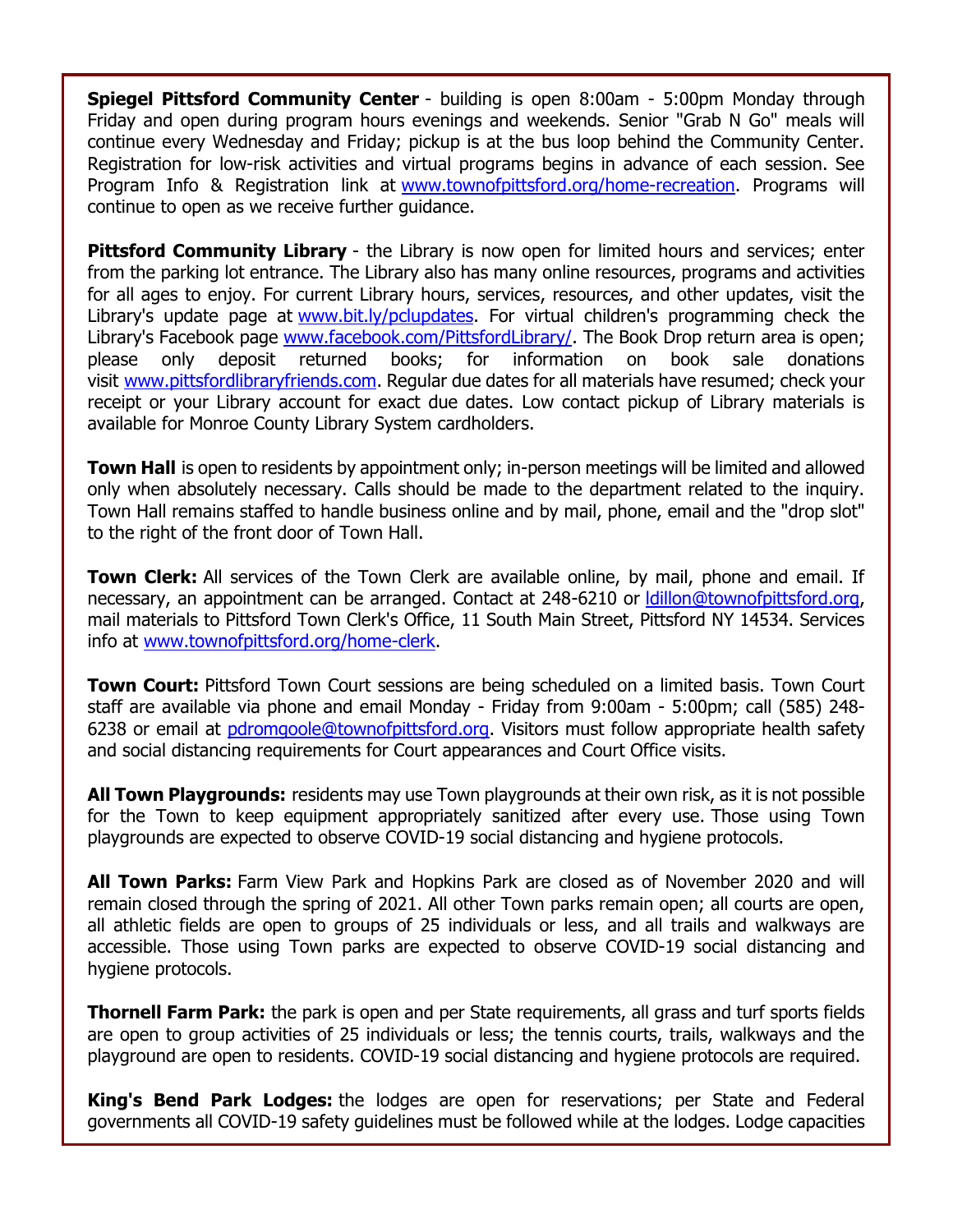**Spiegel Pittsford Community Center** - building is open 8:00am - 5:00pm Monday through Friday and open during program hours evenings and weekends. Senior "Grab N Go" meals will continue every Wednesday and Friday; pickup is at the bus loop behind the Community Center. Registration for low-risk activities and virtual programs begins in advance of each session. See Program Info & Registration link at [www.townofpittsford.org/home-recreation.](http://r20.rs6.net/tn.jsp?f=001OZQE3MqHp5dkIuJ1ZwfW_Q54RXkl3fCdaesJrfwK2-NrtFHZSjCW6E1MtNGFiCPcBgfrRD0qXolHKpw77ozVV-194-nBWwI3UUiIUyrWeOBRU7CfhZWzkVept5K__kmRSgYBreSb9Q-7XdlOEdD4INndaX1TbrnZDaXQcSPr6ayyqhmoG1nysA==&c=4mEVP4j7NCss6SvU_ikzHH8qXswQjVV5r89UQHoFAupD0IRSPKrtkA==&ch=3GDXquySHNxKxZzCx4_c_pwhkL-yoRyylVp7fOP8OJS0pcRaLGcfbg==) Programs will continue to open as we receive further guidance.

**Pittsford Community Library** - the Library is now open for limited hours and services; enter from the parking lot entrance. The Library also has many online resources, programs and activities for all ages to enjoy. For current Library hours, services, resources, and other updates, visit the Library's update page at [www.bit.ly/pclupdates.](http://r20.rs6.net/tn.jsp?f=001OZQE3MqHp5dkIuJ1ZwfW_Q54RXkl3fCdaesJrfwK2-NrtFHZSjCW6DOWEZdUYjZISmj0_sXEpOwS98Cvq_QU9KQNqHG52pIZEb2UllYpfN2KJUnEC8DdViTFE3A0MMeOEwnrWcRwlYlm9Ck9QIWNhA==&c=4mEVP4j7NCss6SvU_ikzHH8qXswQjVV5r89UQHoFAupD0IRSPKrtkA==&ch=3GDXquySHNxKxZzCx4_c_pwhkL-yoRyylVp7fOP8OJS0pcRaLGcfbg==) For virtual children's programming check the Library's Facebook page [www.facebook.com/PittsfordLibrary/.](http://r20.rs6.net/tn.jsp?f=001OZQE3MqHp5dkIuJ1ZwfW_Q54RXkl3fCdaesJrfwK2-NrtFHZSjCW6NATGMFT4s_D6ZWfygc90IbKMIFf_ZAVsxHRrE8lWkgid6apimhQfGzxC5yvpL_1fVHOflobJ-GYHIXm4eMvj2qtCh5ZsfxDOji6-wQ4_qJA7yUFoHt2Nlo=&c=4mEVP4j7NCss6SvU_ikzHH8qXswQjVV5r89UQHoFAupD0IRSPKrtkA==&ch=3GDXquySHNxKxZzCx4_c_pwhkL-yoRyylVp7fOP8OJS0pcRaLGcfbg==) The Book Drop return area is open; please only deposit returned books; for information on book sale donations visit [www.pittsfordlibraryfriends.com.](http://r20.rs6.net/tn.jsp?f=001OZQE3MqHp5dkIuJ1ZwfW_Q54RXkl3fCdaesJrfwK2-NrtFHZSjCW6PMw2sGuyVan4Yt_oUo6YHh44xzo9pe9hNUjZKEVEi3l8XVZ_mOLMSS3N4voEct3oDyzWDguXkDWiGtikg-icpzbDFC2tX731JcM1XON3FVwqlxeNIuoNJ4=&c=4mEVP4j7NCss6SvU_ikzHH8qXswQjVV5r89UQHoFAupD0IRSPKrtkA==&ch=3GDXquySHNxKxZzCx4_c_pwhkL-yoRyylVp7fOP8OJS0pcRaLGcfbg==) Regular due dates for all materials have resumed; check your receipt or your Library account for exact due dates. Low contact pickup of Library materials is available for Monroe County Library System cardholders.

**Town Hall** is open to residents by appointment only; in-person meetings will be limited and allowed only when absolutely necessary. Calls should be made to the department related to the inquiry. Town Hall remains staffed to handle business online and by mail, phone, email and the "drop slot" to the right of the front door of Town Hall.

**Town Clerk:** All services of the Town Clerk are available online, by mail, phone and email. If necessary, an appointment can be arranged. Contact at 248-6210 or dillon@townofpittsford.org, mail materials to Pittsford Town Clerk's Office, 11 South Main Street, Pittsford NY 14534. Services info at [www.townofpittsford.org/home-clerk.](http://r20.rs6.net/tn.jsp?f=001OZQE3MqHp5dkIuJ1ZwfW_Q54RXkl3fCdaesJrfwK2-NrtFHZSjCW6GddlmRBqb-65bP0i1DXufZB66R25TQ9Rg53-vaAvi7l7U80PBQIxskw01PFfma3DDy7WbZWVhagDFH6g42dDnepxQe_JOEVLlWBhTqYSNNAFmt2HG5XsHI=&c=4mEVP4j7NCss6SvU_ikzHH8qXswQjVV5r89UQHoFAupD0IRSPKrtkA==&ch=3GDXquySHNxKxZzCx4_c_pwhkL-yoRyylVp7fOP8OJS0pcRaLGcfbg==)

**Town Court:** Pittsford Town Court sessions are being scheduled on a limited basis. Town Court staff are available via phone and email Monday - Friday from 9:00am - 5:00pm; call (585) 248- 6238 or email at [pdromgoole@townofpittsford.org.](mailto:pdromgoole@townofpittsford.org) Visitors must follow appropriate health safety and social distancing requirements for Court appearances and Court Office visits.

**All Town Playgrounds:** residents may use Town playgrounds at their own risk, as it is not possible for the Town to keep equipment appropriately sanitized after every use. Those using Town playgrounds are expected to observe COVID-19 social distancing and hygiene protocols.

**All Town Parks:** Farm View Park and Hopkins Park are closed as of November 2020 and will remain closed through the spring of 2021. All other Town parks remain open; all courts are open, all athletic fields are open to groups of 25 individuals or less, and all trails and walkways are accessible. Those using Town parks are expected to observe COVID-19 social distancing and hygiene protocols.

**Thornell Farm Park:** the park is open and per State requirements, all grass and turf sports fields are open to group activities of 25 individuals or less; the tennis courts, trails, walkways and the playground are open to residents. COVID-19 social distancing and hygiene protocols are required.

**King's Bend Park Lodges:** the lodges are open for reservations; per State and Federal governments all COVID-19 safety guidelines must be followed while at the lodges. Lodge capacities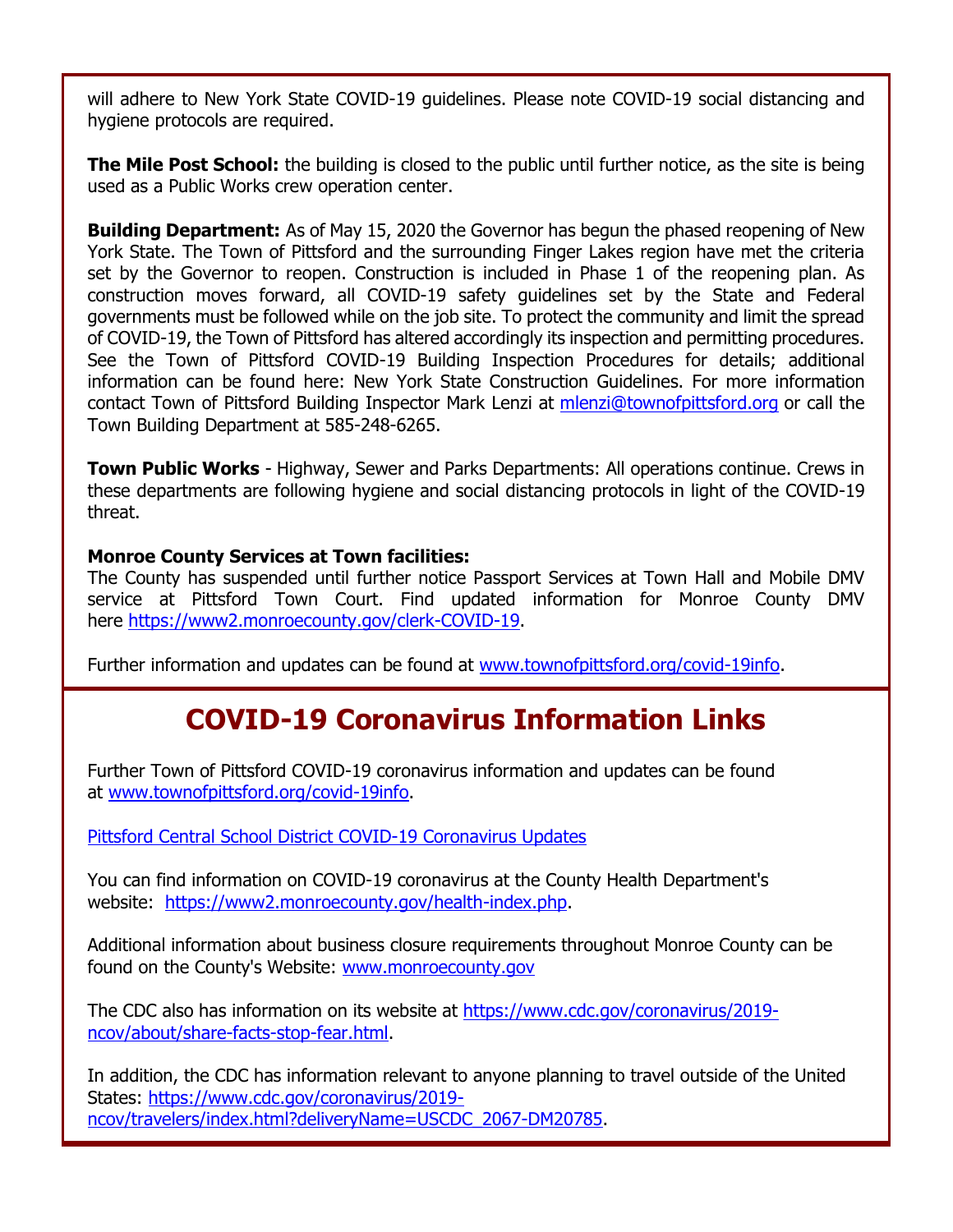will adhere to New York State COVID-19 guidelines. Please note COVID-19 social distancing and hygiene protocols are required.

**The Mile Post School:** the building is closed to the public until further notice, as the site is being used as a Public Works crew operation center.

**Building Department:** As of May 15, 2020 the Governor has begun the phased reopening of New York State. The Town of Pittsford and the surrounding Finger Lakes region have met the criteria set by the Governor to reopen. Construction is included in Phase 1 of the reopening plan. As construction moves forward, all COVID-19 safety guidelines set by the State and Federal governments must be followed while on the job site. To protect the community and limit the spread of COVID-19, the Town of Pittsford has altered accordingly its inspection and permitting procedures. See the Town of Pittsford COVID-19 Building Inspection Procedures for details; additional information can be found here: New York State Construction Guidelines. For more information contact Town of Pittsford Building Inspector Mark Lenzi at [mlenzi@townofpittsford.org](mailto:mlenzi@townofpittsford.org?subject=COVID-19%20Construciton%20Information) or call the Town Building Department at 585-248-6265.

**Town Public Works** - Highway, Sewer and Parks Departments: All operations continue. Crews in these departments are following hygiene and social distancing protocols in light of the COVID-19 threat.

#### **Monroe County Services at Town facilities:**

The County has suspended until further notice Passport Services at Town Hall and Mobile DMV service at Pittsford Town Court. Find updated information for Monroe County DMV here [https://www2.monroecounty.gov/clerk-COVID-19.](http://r20.rs6.net/tn.jsp?f=001OZQE3MqHp5dkIuJ1ZwfW_Q54RXkl3fCdaesJrfwK2-NrtFHZSjCW6E7CzpqKKlr2AT_FPPHpVjORZzjSpINsg4yTGxxoG95Ag1m55PCxZba32Ke3kbTarAWlCHDwi7imIJimUo7fyiibm1V1FVNz20QIEF76kCwP3ebq6pgB9JE=&c=4mEVP4j7NCss6SvU_ikzHH8qXswQjVV5r89UQHoFAupD0IRSPKrtkA==&ch=3GDXquySHNxKxZzCx4_c_pwhkL-yoRyylVp7fOP8OJS0pcRaLGcfbg==)

Further information and updates can be found at [www.townofpittsford.org/covid-19info.](http://r20.rs6.net/tn.jsp?f=001OZQE3MqHp5dkIuJ1ZwfW_Q54RXkl3fCdaesJrfwK2-NrtFHZSjCW6JsJxLnTqS1e9f1z2OWqJcuzQ4l-PwoqjnTYChhbukEt823FDqfHh7FGSQzrv3wnpdBqwbQEO0mfiVgR5tpgCsdqV8zZFwXzxOedNPvurWwpSZVEnacbdHs=&c=4mEVP4j7NCss6SvU_ikzHH8qXswQjVV5r89UQHoFAupD0IRSPKrtkA==&ch=3GDXquySHNxKxZzCx4_c_pwhkL-yoRyylVp7fOP8OJS0pcRaLGcfbg==)

### **COVID-19 Coronavirus Information Links**

Further Town of Pittsford COVID-19 coronavirus information and updates can be found at [www.townofpittsford.org/covid-19info.](http://r20.rs6.net/tn.jsp?f=001OZQE3MqHp5dkIuJ1ZwfW_Q54RXkl3fCdaesJrfwK2-NrtFHZSjCW6JsJxLnTqS1e9f1z2OWqJcuzQ4l-PwoqjnTYChhbukEt823FDqfHh7FGSQzrv3wnpdBqwbQEO0mfiVgR5tpgCsdqV8zZFwXzxOedNPvurWwpSZVEnacbdHs=&c=4mEVP4j7NCss6SvU_ikzHH8qXswQjVV5r89UQHoFAupD0IRSPKrtkA==&ch=3GDXquySHNxKxZzCx4_c_pwhkL-yoRyylVp7fOP8OJS0pcRaLGcfbg==)

[Pittsford Central School District COVID-19 Coronavirus Updates](http://r20.rs6.net/tn.jsp?f=001OZQE3MqHp5dkIuJ1ZwfW_Q54RXkl3fCdaesJrfwK2-NrtFHZSjCW6NATGMFT4s_DjHqrHnJ6QPZkMbZGK6_KNv_wn5QaxPr1yzP6DNCIn8wXo-waS3BBkIVI7KK7_Fh8ielaTCqoNr031_w__n0LGugHGezbLnau5hEHc7ZMPocass-4smnTOg==&c=4mEVP4j7NCss6SvU_ikzHH8qXswQjVV5r89UQHoFAupD0IRSPKrtkA==&ch=3GDXquySHNxKxZzCx4_c_pwhkL-yoRyylVp7fOP8OJS0pcRaLGcfbg==)

You can find information on COVID-19 coronavirus at the County Health Department's website: [https://www2.monroecounty.gov/health-index.php.](http://r20.rs6.net/tn.jsp?f=001OZQE3MqHp5dkIuJ1ZwfW_Q54RXkl3fCdaesJrfwK2-NrtFHZSjCW6AYdi3SDQpaIXiGCZyMg0kigdrFuzuq4jXgnWyUXkT9Cm8hIIOe_Bja2-GyzC1VM4ID8oK-B8vrS4mRVWFElF_LyQV302CDDtw3PAwD1R3WatUOsRJjgzJ6G1AbkCJ6dMg==&c=4mEVP4j7NCss6SvU_ikzHH8qXswQjVV5r89UQHoFAupD0IRSPKrtkA==&ch=3GDXquySHNxKxZzCx4_c_pwhkL-yoRyylVp7fOP8OJS0pcRaLGcfbg==)

Additional information about business closure requirements throughout Monroe County can be found on the County's Website: [www.monroecounty.gov](http://r20.rs6.net/tn.jsp?f=001OZQE3MqHp5dkIuJ1ZwfW_Q54RXkl3fCdaesJrfwK2-NrtFHZSjCW6KW4W2IJvKaDU5AIdTwSmbymqppqq-nEosRLnlTSZSVcXSeHaNvA-YgV2KDOXyz5LDqJs8SaJbB05tuN_eXKZh_tsgrYObaMPg==&c=4mEVP4j7NCss6SvU_ikzHH8qXswQjVV5r89UQHoFAupD0IRSPKrtkA==&ch=3GDXquySHNxKxZzCx4_c_pwhkL-yoRyylVp7fOP8OJS0pcRaLGcfbg==)

The CDC also has information on its website at [https://www.cdc.gov/coronavirus/2019](http://r20.rs6.net/tn.jsp?f=001OZQE3MqHp5dkIuJ1ZwfW_Q54RXkl3fCdaesJrfwK2-NrtFHZSjCW6AYdi3SDQpaIM0-AZjXY9hKEHDqJAsPxbCvuPnnV1UGJua3kS_fJqT_XaoxtJ3ucv7MGegAiOm5TekIEwwDyfpbtKRZgyIH08dTEUT0daNSPRgOxiNk55QEWOIwdK4sfYOQC3hNDjADaEM0fkwrU__OJZRyxsRtTTbE1axtPE8On&c=4mEVP4j7NCss6SvU_ikzHH8qXswQjVV5r89UQHoFAupD0IRSPKrtkA==&ch=3GDXquySHNxKxZzCx4_c_pwhkL-yoRyylVp7fOP8OJS0pcRaLGcfbg==) [ncov/about/share-facts-stop-fear.html.](http://r20.rs6.net/tn.jsp?f=001OZQE3MqHp5dkIuJ1ZwfW_Q54RXkl3fCdaesJrfwK2-NrtFHZSjCW6AYdi3SDQpaIM0-AZjXY9hKEHDqJAsPxbCvuPnnV1UGJua3kS_fJqT_XaoxtJ3ucv7MGegAiOm5TekIEwwDyfpbtKRZgyIH08dTEUT0daNSPRgOxiNk55QEWOIwdK4sfYOQC3hNDjADaEM0fkwrU__OJZRyxsRtTTbE1axtPE8On&c=4mEVP4j7NCss6SvU_ikzHH8qXswQjVV5r89UQHoFAupD0IRSPKrtkA==&ch=3GDXquySHNxKxZzCx4_c_pwhkL-yoRyylVp7fOP8OJS0pcRaLGcfbg==)

In addition, the CDC has information relevant to anyone planning to travel outside of the United States: [https://www.cdc.gov/coronavirus/2019](http://r20.rs6.net/tn.jsp?f=001OZQE3MqHp5dkIuJ1ZwfW_Q54RXkl3fCdaesJrfwK2-NrtFHZSjCW6AYdi3SDQpaIOVaz6uPdbfs6wcl4wAbFTyzZPaEtGeR3A_qlhtbv7FgiMgL7pj1hZ0EalpP9i2oRicgQcMelNj_gyyJO5W9xU9oF4PoGCdE4s7tfBzpz8d6YOjpoXYaEXWLhobu5qrsrhhRWfWJV7pwRc983kM6w7T7XhaoI3ASgRfakUl3VeSWRjB7FlzV3R3mZvv1tmn3c&c=4mEVP4j7NCss6SvU_ikzHH8qXswQjVV5r89UQHoFAupD0IRSPKrtkA==&ch=3GDXquySHNxKxZzCx4_c_pwhkL-yoRyylVp7fOP8OJS0pcRaLGcfbg==) [ncov/travelers/index.html?deliveryName=USCDC\\_2067-DM20785.](http://r20.rs6.net/tn.jsp?f=001OZQE3MqHp5dkIuJ1ZwfW_Q54RXkl3fCdaesJrfwK2-NrtFHZSjCW6AYdi3SDQpaIOVaz6uPdbfs6wcl4wAbFTyzZPaEtGeR3A_qlhtbv7FgiMgL7pj1hZ0EalpP9i2oRicgQcMelNj_gyyJO5W9xU9oF4PoGCdE4s7tfBzpz8d6YOjpoXYaEXWLhobu5qrsrhhRWfWJV7pwRc983kM6w7T7XhaoI3ASgRfakUl3VeSWRjB7FlzV3R3mZvv1tmn3c&c=4mEVP4j7NCss6SvU_ikzHH8qXswQjVV5r89UQHoFAupD0IRSPKrtkA==&ch=3GDXquySHNxKxZzCx4_c_pwhkL-yoRyylVp7fOP8OJS0pcRaLGcfbg==)